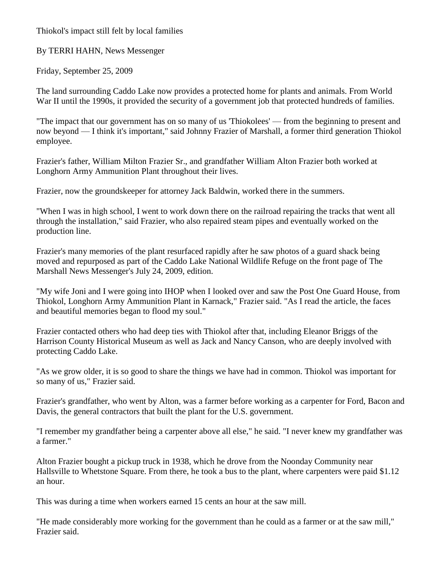Thiokol's impact still felt by local families

By TERRI HAHN, News Messenger

Friday, September 25, 2009

The land surrounding Caddo Lake now provides a protected home for plants and animals. From World War II until the 1990s, it provided the security of a government job that protected hundreds of families.

"The impact that our government has on so many of us 'Thiokolees' — from the beginning to present and now beyond — I think it's important," said Johnny Frazier of Marshall, a former third generation Thiokol employee.

Frazier's father, William Milton Frazier Sr., and grandfather William Alton Frazier both worked at Longhorn Army Ammunition Plant throughout their lives.

Frazier, now the groundskeeper for attorney Jack Baldwin, worked there in the summers.

"When I was in high school, I went to work down there on the railroad repairing the tracks that went all through the installation," said Frazier, who also repaired steam pipes and eventually worked on the production line.

Frazier's many memories of the plant resurfaced rapidly after he saw photos of a guard shack being moved and repurposed as part of the Caddo Lake National Wildlife Refuge on the front page of The Marshall News Messenger's July 24, 2009, edition.

"My wife Joni and I were going into IHOP when I looked over and saw the Post One Guard House, from Thiokol, Longhorn Army Ammunition Plant in Karnack," Frazier said. "As I read the article, the faces and beautiful memories began to flood my soul."

Frazier contacted others who had deep ties with Thiokol after that, including Eleanor Briggs of the Harrison County Historical Museum as well as Jack and Nancy Canson, who are deeply involved with protecting Caddo Lake.

"As we grow older, it is so good to share the things we have had in common. Thiokol was important for so many of us," Frazier said.

Frazier's grandfather, who went by Alton, was a farmer before working as a carpenter for Ford, Bacon and Davis, the general contractors that built the plant for the U.S. government.

"I remember my grandfather being a carpenter above all else," he said. "I never knew my grandfather was a farmer."

Alton Frazier bought a pickup truck in 1938, which he drove from the Noonday Community near Hallsville to Whetstone Square. From there, he took a bus to the plant, where carpenters were paid \$1.12 an hour.

This was during a time when workers earned 15 cents an hour at the saw mill.

"He made considerably more working for the government than he could as a farmer or at the saw mill," Frazier said.